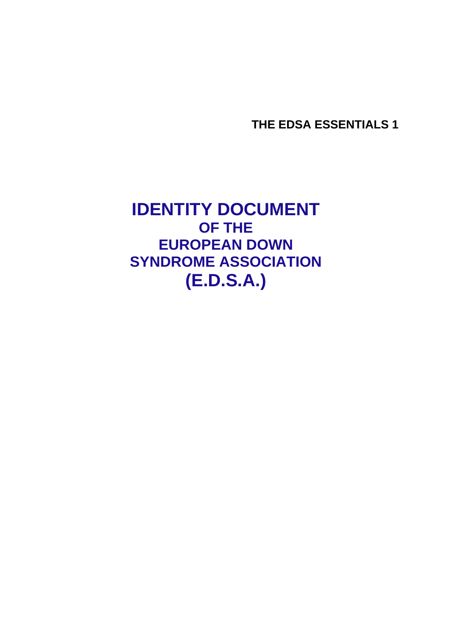**THE EDSA ESSENTIALS 1** 

**IDENTITY DOCUMENT OF THE EUROPEAN DOWN SYNDROME ASSOCIATION (E.D.S.A.)**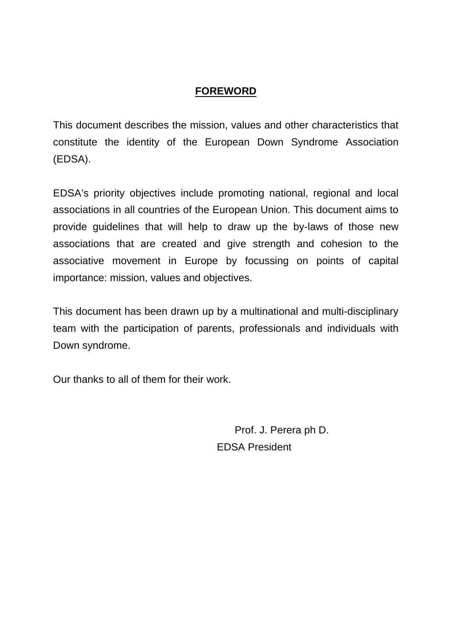#### **FOREWORD**

This document describes the mission, values and other characteristics that constitute the identity of the European Down Syndrome Association (EDSA).

EDSA's priority objectives include promoting national, regional and local associations in all countries of the European Union. This document aims to provide guidelines that will help to draw up the by-laws of those new associations that are created and give strength and cohesion to the associative movement in Europe by focussing on points of capital importance: mission, values and objectives.

This document has been drawn up by a multinational and multi-disciplinary team with the participation of parents, professionals and individuals with Down syndrome.

Our thanks to all of them for their work.

 Prof. J. Perera ph D. EDSA President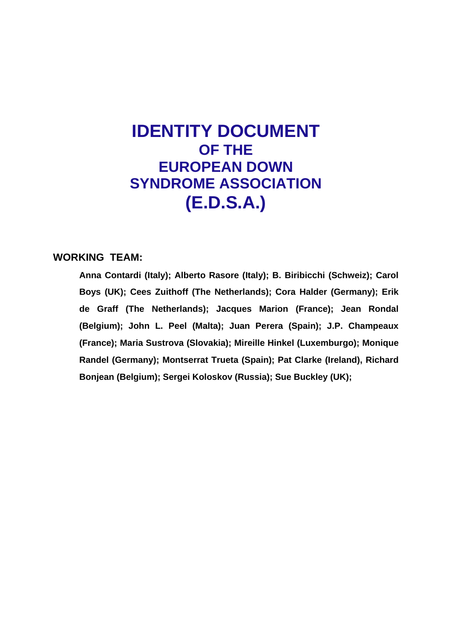# **IDENTITY DOCUMENT OF THE EUROPEAN DOWN SYNDROME ASSOCIATION (E.D.S.A.)**

#### **WORKING TEAM:**

**Anna Contardi (Italy); Alberto Rasore (Italy); B. Biribicchi (Schweiz); Carol Boys (UK); Cees Zuithoff (The Netherlands); Cora Halder (Germany); Erik de Graff (The Netherlands); Jacques Marion (France); Jean Rondal (Belgium); John L. Peel (Malta); Juan Perera (Spain); J.P. Champeaux (France); Maria Sustrova (Slovakia); Mireille Hinkel (Luxemburgo); Monique Randel (Germany); Montserrat Trueta (Spain); Pat Clarke (Ireland), Richard Bonjean (Belgium); Sergei Koloskov (Russia); Sue Buckley (UK);**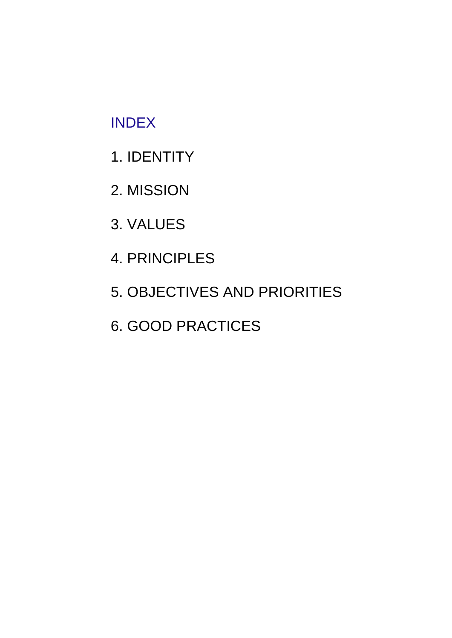# INDEX

- 1. IDENTITY
- 2. MISSION
- 3. VALUES
- 4. PRINCIPLES
- 5. OBJECTIVES AND PRIORITIES
- 6. GOOD PRACTICES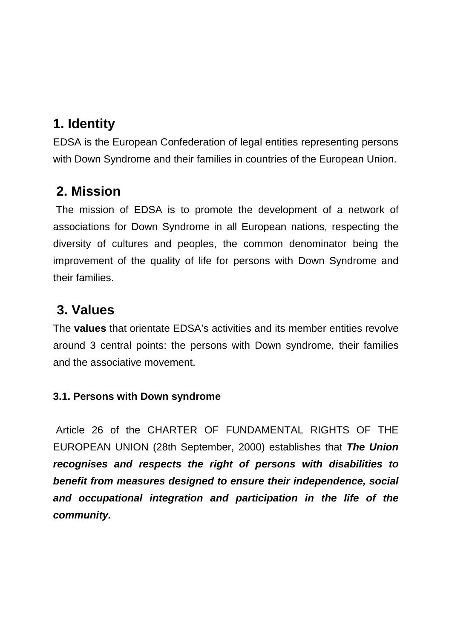### **1. Identity**

EDSA is the European Confederation of legal entities representing persons with Down Syndrome and their families in countries of the European Union.

### **2. Mission**

 The mission of EDSA is to promote the development of a network of associations for Down Syndrome in all European nations, respecting the diversity of cultures and peoples, the common denominator being the improvement of the quality of life for persons with Down Syndrome and their families.

## **3. Values**

The **values** that orientate EDSA's activities and its member entities revolve around 3 central points: the persons with Down syndrome, their families and the associative movement.

### **3.1. Persons with Down syndrome**

 Article 26 of the CHARTER OF FUNDAMENTAL RIGHTS OF THE EUROPEAN UNION (28th September, 2000) establishes that *The Union recognises and respects the right of persons with disabilities to benefit from measures designed to ensure their independence, social and occupational integration and participation in the life of the community.*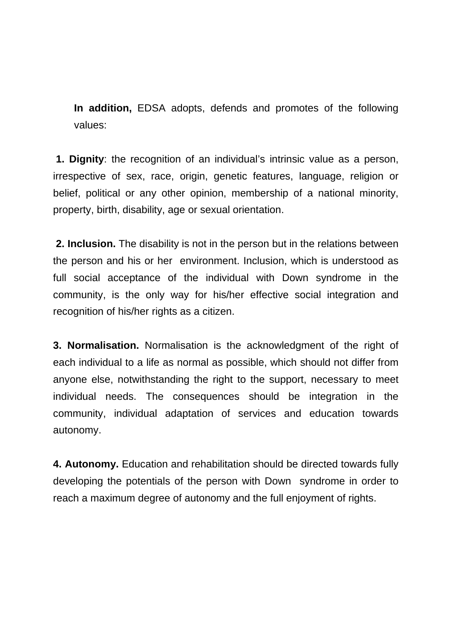**In addition,** EDSA adopts, defends and promotes of the following values:

**1. Dignity**: the recognition of an individual's intrinsic value as a person, irrespective of sex, race, origin, genetic features, language, religion or belief, political or any other opinion, membership of a national minority, property, birth, disability, age or sexual orientation.

**2. Inclusion.** The disability is not in the person but in the relations between the person and his or her environment. Inclusion, which is understood as full social acceptance of the individual with Down syndrome in the community, is the only way for his/her effective social integration and recognition of his/her rights as a citizen.

**3. Normalisation.** Normalisation is the acknowledgment of the right of each individual to a life as normal as possible, which should not differ from anyone else, notwithstanding the right to the support, necessary to meet individual needs. The consequences should be integration in the community, individual adaptation of services and education towards autonomy.

**4. Autonomy.** Education and rehabilitation should be directed towards fully developing the potentials of the person with Down syndrome in order to reach a maximum degree of autonomy and the full enjoyment of rights.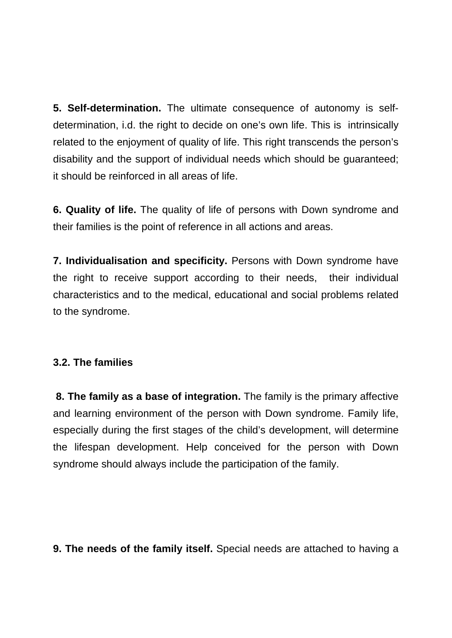**5. Self-determination.** The ultimate consequence of autonomy is selfdetermination, i.d. the right to decide on one's own life. This is intrinsically related to the enjoyment of quality of life. This right transcends the person's disability and the support of individual needs which should be guaranteed; it should be reinforced in all areas of life.

**6. Quality of life.** The quality of life of persons with Down syndrome and their families is the point of reference in all actions and areas.

**7. Individualisation and specificity.** Persons with Down syndrome have the right to receive support according to their needs, their individual characteristics and to the medical, educational and social problems related to the syndrome.

#### **3.2. The families**

 **8. The family as a base of integration.** The family is the primary affective and learning environment of the person with Down syndrome. Family life, especially during the first stages of the child's development, will determine the lifespan development. Help conceived for the person with Down syndrome should always include the participation of the family.

**9. The needs of the family itself.** Special needs are attached to having a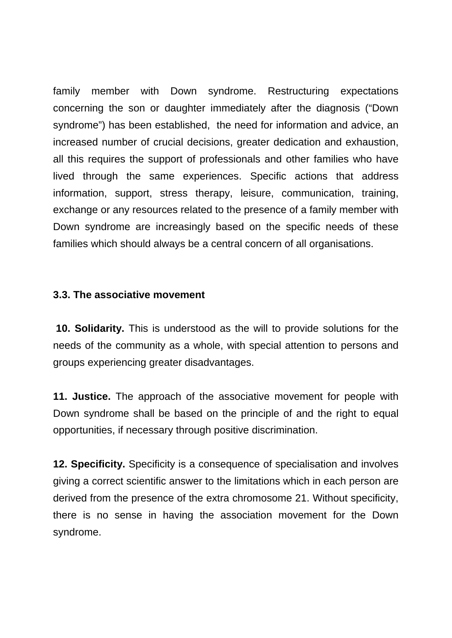family member with Down syndrome. Restructuring expectations concerning the son or daughter immediately after the diagnosis ("Down syndrome") has been established, the need for information and advice, an increased number of crucial decisions, greater dedication and exhaustion, all this requires the support of professionals and other families who have lived through the same experiences. Specific actions that address information, support, stress therapy, leisure, communication, training, exchange or any resources related to the presence of a family member with Down syndrome are increasingly based on the specific needs of these families which should always be a central concern of all organisations.

#### **3.3. The associative movement**

**10. Solidarity.** This is understood as the will to provide solutions for the needs of the community as a whole, with special attention to persons and groups experiencing greater disadvantages.

**11. Justice.** The approach of the associative movement for people with Down syndrome shall be based on the principle of and the right to equal opportunities, if necessary through positive discrimination.

**12. Specificity.** Specificity is a consequence of specialisation and involves giving a correct scientific answer to the limitations which in each person are derived from the presence of the extra chromosome 21. Without specificity, there is no sense in having the association movement for the Down syndrome.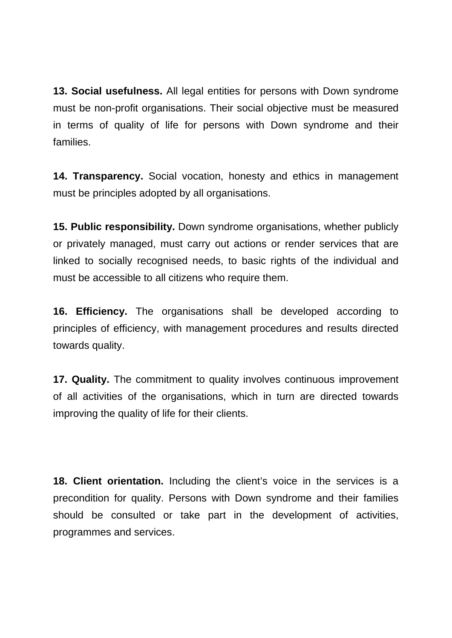**13. Social usefulness.** All legal entities for persons with Down syndrome must be non-profit organisations. Their social objective must be measured in terms of quality of life for persons with Down syndrome and their families.

**14. Transparency.** Social vocation, honesty and ethics in management must be principles adopted by all organisations.

**15. Public responsibility.** Down syndrome organisations, whether publicly or privately managed, must carry out actions or render services that are linked to socially recognised needs, to basic rights of the individual and must be accessible to all citizens who require them.

**16. Efficiency.** The organisations shall be developed according to principles of efficiency, with management procedures and results directed towards quality.

**17. Quality.** The commitment to quality involves continuous improvement of all activities of the organisations, which in turn are directed towards improving the quality of life for their clients.

**18. Client orientation.** Including the client's voice in the services is a precondition for quality. Persons with Down syndrome and their families should be consulted or take part in the development of activities, programmes and services.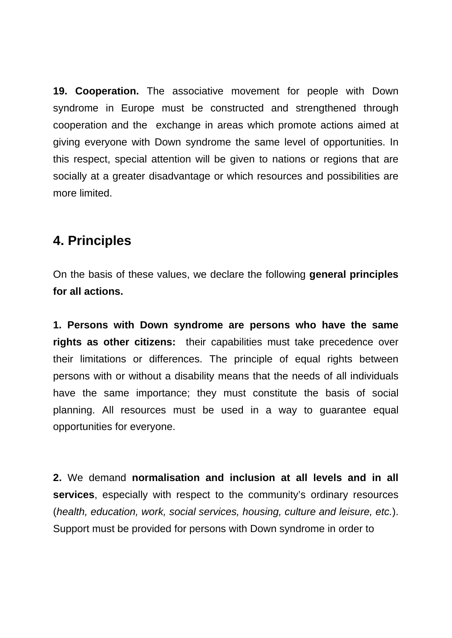**19. Cooperation.** The associative movement for people with Down syndrome in Europe must be constructed and strengthened through cooperation and the exchange in areas which promote actions aimed at giving everyone with Down syndrome the same level of opportunities. In this respect, special attention will be given to nations or regions that are socially at a greater disadvantage or which resources and possibilities are more limited.

### **4. Principles**

On the basis of these values, we declare the following **general principles for all actions.**

**1. Persons with Down syndrome are persons who have the same rights as other citizens:** their capabilities must take precedence over their limitations or differences. The principle of equal rights between persons with or without a disability means that the needs of all individuals have the same importance; they must constitute the basis of social planning. All resources must be used in a way to guarantee equal opportunities for everyone.

**2.** We demand **normalisation and inclusion at all levels and in all services**, especially with respect to the community's ordinary resources (*health, education, work, social services, housing, culture and leisure, etc.*). Support must be provided for persons with Down syndrome in order to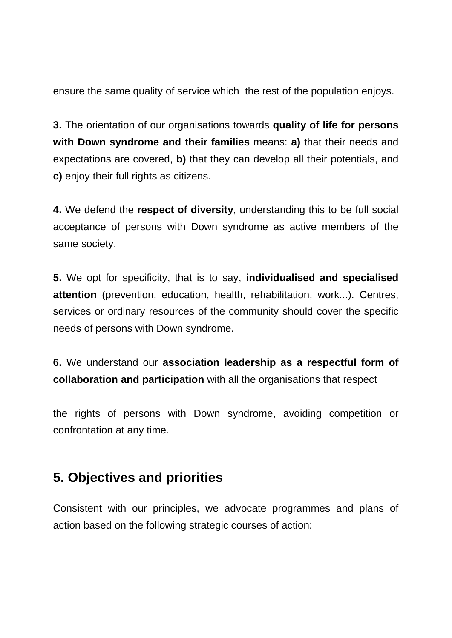ensure the same quality of service which the rest of the population enjoys.

**3.** The orientation of our organisations towards **quality of life for persons with Down syndrome and their families** means: **a)** that their needs and expectations are covered, **b)** that they can develop all their potentials, and **c)** enjoy their full rights as citizens.

**4.** We defend the **respect of diversity**, understanding this to be full social acceptance of persons with Down syndrome as active members of the same society.

**5.** We opt for specificity, that is to say, **individualised and specialised attention** (prevention, education, health, rehabilitation, work...). Centres, services or ordinary resources of the community should cover the specific needs of persons with Down syndrome.

**6.** We understand our **association leadership as a respectful form of collaboration and participation** with all the organisations that respect

the rights of persons with Down syndrome, avoiding competition or confrontation at any time.

### **5. Objectives and priorities**

Consistent with our principles, we advocate programmes and plans of action based on the following strategic courses of action: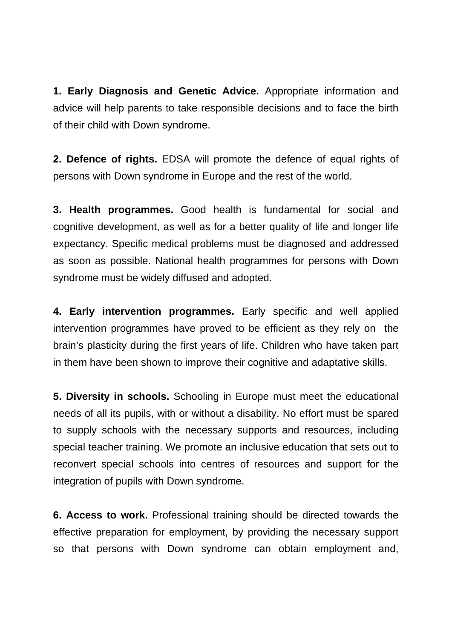**1. Early Diagnosis and Genetic Advice.** Appropriate information and advice will help parents to take responsible decisions and to face the birth of their child with Down syndrome.

**2. Defence of rights.** EDSA will promote the defence of equal rights of persons with Down syndrome in Europe and the rest of the world.

**3. Health programmes.** Good health is fundamental for social and cognitive development, as well as for a better quality of life and longer life expectancy. Specific medical problems must be diagnosed and addressed as soon as possible. National health programmes for persons with Down syndrome must be widely diffused and adopted.

**4. Early intervention programmes.** Early specific and well applied intervention programmes have proved to be efficient as they rely on the brain's plasticity during the first years of life. Children who have taken part in them have been shown to improve their cognitive and adaptative skills.

**5. Diversity in schools.** Schooling in Europe must meet the educational needs of all its pupils, with or without a disability. No effort must be spared to supply schools with the necessary supports and resources, including special teacher training. We promote an inclusive education that sets out to reconvert special schools into centres of resources and support for the integration of pupils with Down syndrome.

**6. Access to work.** Professional training should be directed towards the effective preparation for employment, by providing the necessary support so that persons with Down syndrome can obtain employment and,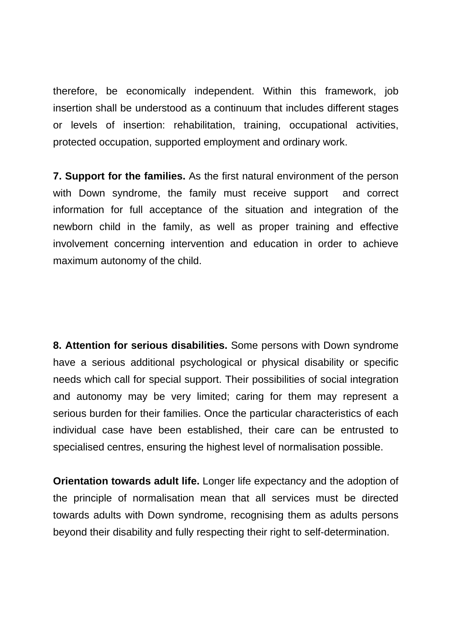therefore, be economically independent. Within this framework, job insertion shall be understood as a continuum that includes different stages or levels of insertion: rehabilitation, training, occupational activities, protected occupation, supported employment and ordinary work.

**7. Support for the families.** As the first natural environment of the person with Down syndrome, the family must receive support and correct information for full acceptance of the situation and integration of the newborn child in the family, as well as proper training and effective involvement concerning intervention and education in order to achieve maximum autonomy of the child.

**8. Attention for serious disabilities.** Some persons with Down syndrome have a serious additional psychological or physical disability or specific needs which call for special support. Their possibilities of social integration and autonomy may be very limited; caring for them may represent a serious burden for their families. Once the particular characteristics of each individual case have been established, their care can be entrusted to specialised centres, ensuring the highest level of normalisation possible.

**Orientation towards adult life.** Longer life expectancy and the adoption of the principle of normalisation mean that all services must be directed towards adults with Down syndrome, recognising them as adults persons beyond their disability and fully respecting their right to self-determination.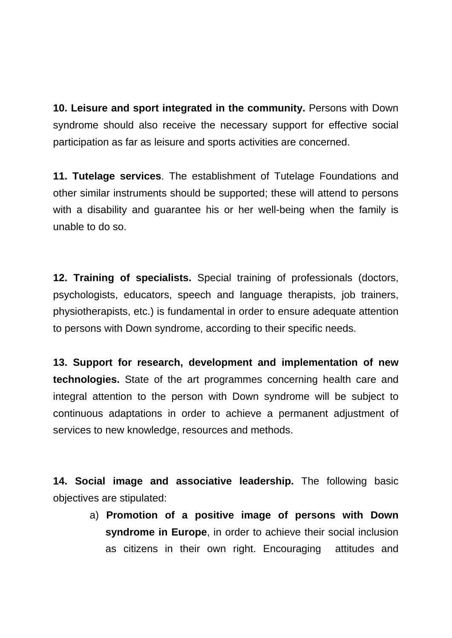**10. Leisure and sport integrated in the community.** Persons with Down syndrome should also receive the necessary support for effective social participation as far as leisure and sports activities are concerned.

**11. Tutelage services**. The establishment of Tutelage Foundations and other similar instruments should be supported; these will attend to persons with a disability and guarantee his or her well-being when the family is unable to do so.

**12. Training of specialists.** Special training of professionals (doctors, psychologists, educators, speech and language therapists, job trainers, physiotherapists, etc.) is fundamental in order to ensure adequate attention to persons with Down syndrome, according to their specific needs.

**13. Support for research, development and implementation of new technologies.** State of the art programmes concerning health care and integral attention to the person with Down syndrome will be subject to continuous adaptations in order to achieve a permanent adjustment of services to new knowledge, resources and methods.

**14. Social image and associative leadership.** The following basic objectives are stipulated:

> a) **Promotion of a positive image of persons with Down syndrome in Europe**, in order to achieve their social inclusion as citizens in their own right. Encouraging attitudes and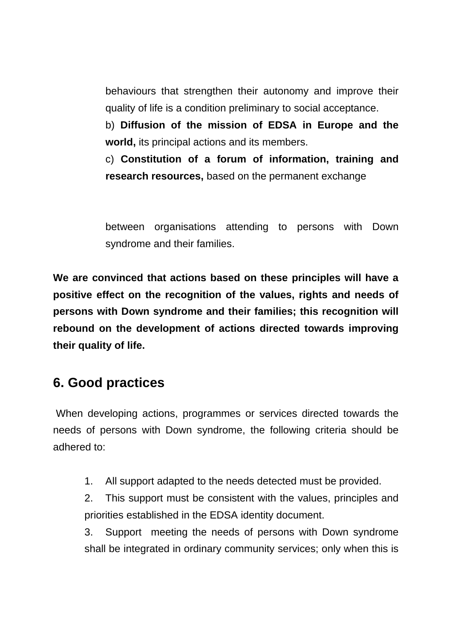behaviours that strengthen their autonomy and improve their quality of life is a condition preliminary to social acceptance.

b) **Diffusion of the mission of EDSA in Europe and the world,** its principal actions and its members.

c) **Constitution of a forum of information, training and research resources,** based on the permanent exchange

between organisations attending to persons with Down syndrome and their families.

**We are convinced that actions based on these principles will have a positive effect on the recognition of the values, rights and needs of persons with Down syndrome and their families; this recognition will rebound on the development of actions directed towards improving their quality of life.** 

### **6. Good practices**

When developing actions, programmes or services directed towards the needs of persons with Down syndrome, the following criteria should be adhered to:

- 1. All support adapted to the needs detected must be provided.
- 2. This support must be consistent with the values, principles and priorities established in the EDSA identity document.

3. Support meeting the needs of persons with Down syndrome shall be integrated in ordinary community services; only when this is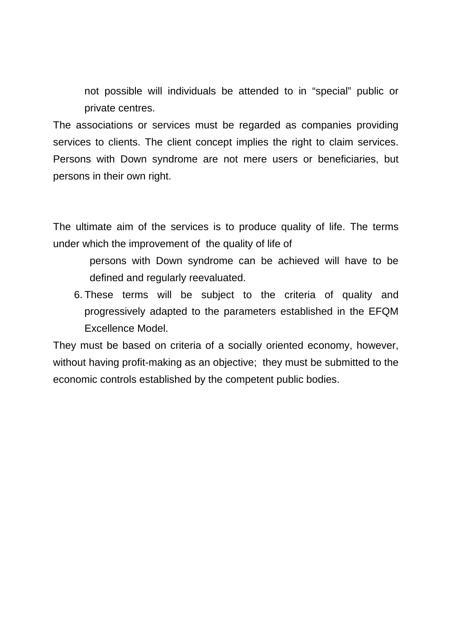not possible will individuals be attended to in "special" public or private centres.

The associations or services must be regarded as companies providing services to clients. The client concept implies the right to claim services. Persons with Down syndrome are not mere users or beneficiaries, but persons in their own right.

The ultimate aim of the services is to produce quality of life. The terms under which the improvement of the quality of life of

- persons with Down syndrome can be achieved will have to be defined and regularly reevaluated.
- 6. These terms will be subject to the criteria of quality and progressively adapted to the parameters established in the EFQM Excellence Model.

They must be based on criteria of a socially oriented economy, however, without having profit-making as an objective; they must be submitted to the economic controls established by the competent public bodies.